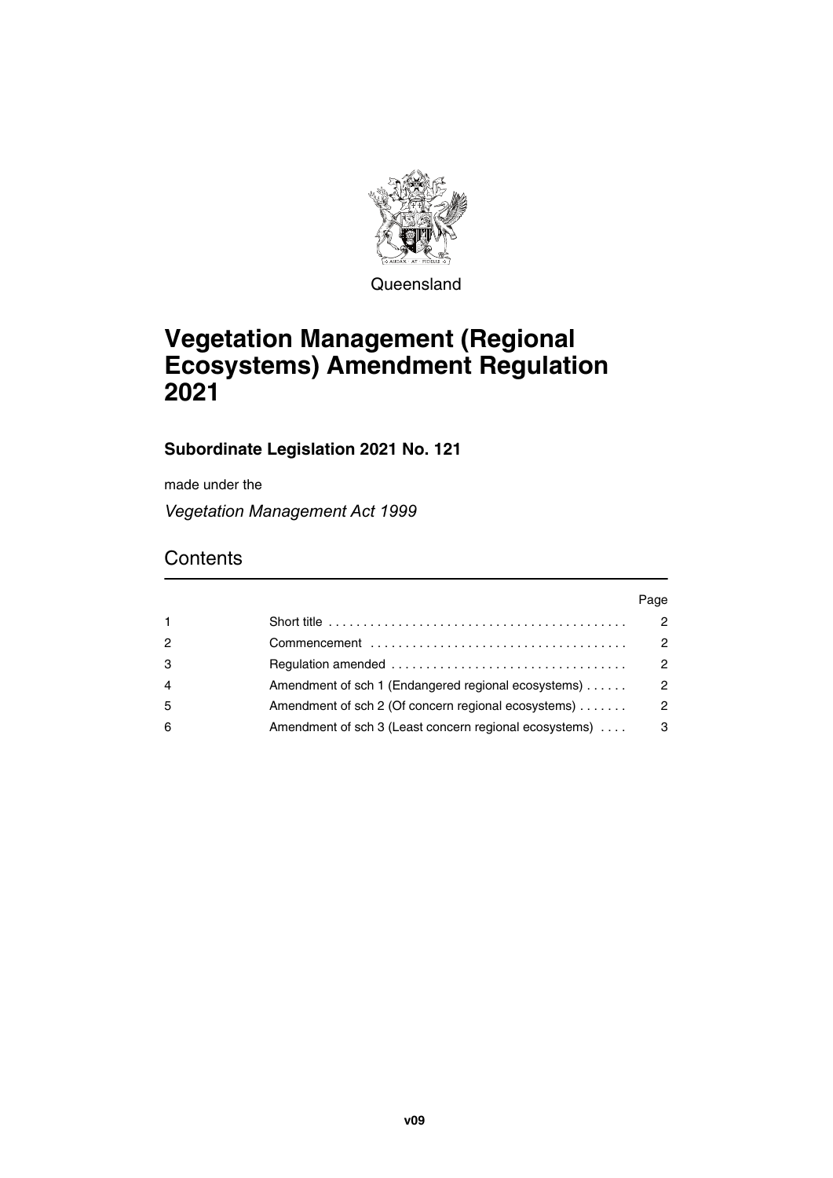

**Queensland** 

# **Vegetation Management (Regional Ecosystems) Amendment Regulation 2021**

# **Subordinate Legislation 2021 No. 121**

made under the

*Vegetation Management Act 1999*

# **Contents**

|                |                                                        | Page          |
|----------------|--------------------------------------------------------|---------------|
|                |                                                        | 2             |
| 2              |                                                        | 2             |
| 3              |                                                        | $\mathcal{P}$ |
| $\overline{4}$ | Amendment of sch 1 (Endangered regional ecosystems)    | $\mathcal{P}$ |
| 5              | Amendment of sch 2 (Of concern regional ecosystems)    | $\mathcal{P}$ |
| 6              | Amendment of sch 3 (Least concern regional ecosystems) | 3             |
|                |                                                        |               |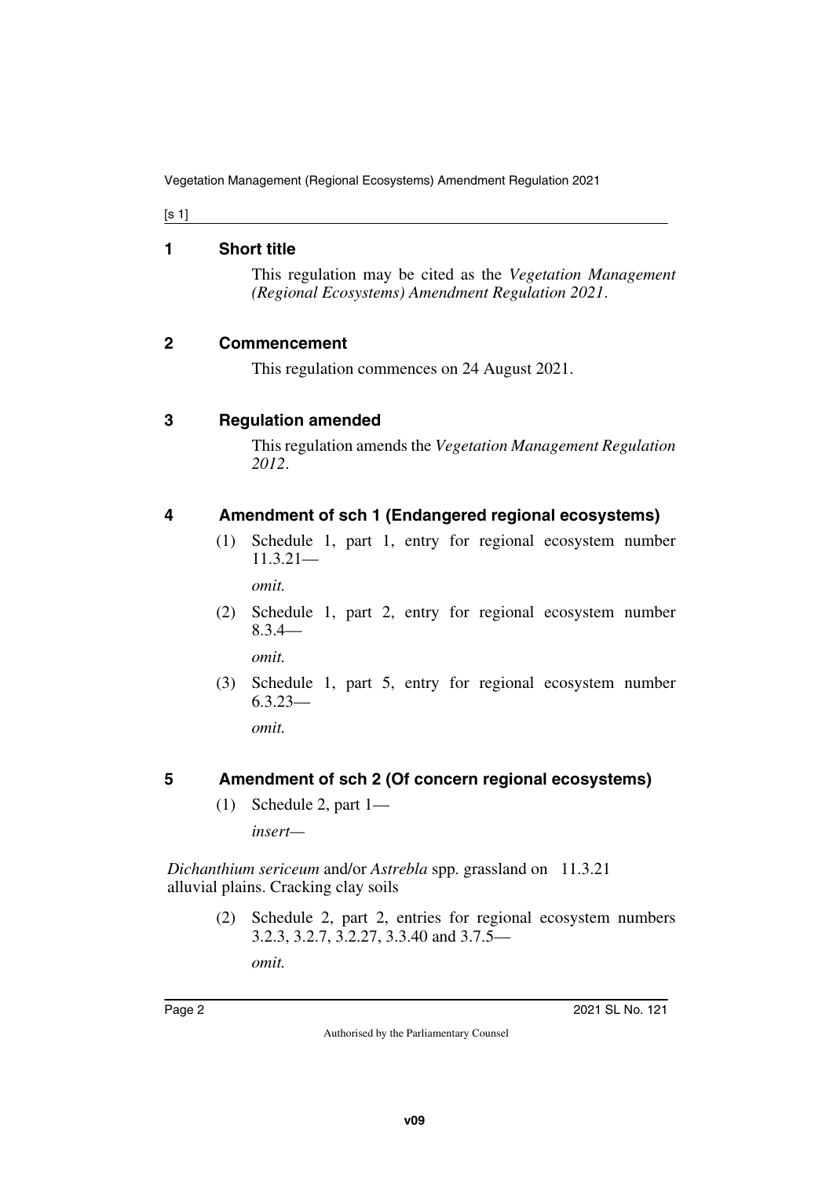[s 1]

#### <span id="page-1-0"></span>**1 Short title**

<span id="page-1-1"></span>This regulation may be cited as the *Vegetation Management (Regional Ecosystems) Amendment Regulation 2021*.

#### <span id="page-1-2"></span>**2 Commencement**

<span id="page-1-3"></span>This regulation commences on 24 August 2021.

#### <span id="page-1-4"></span>**3 Regulation amended**

<span id="page-1-5"></span>This regulation amends the *Vegetation Management Regulation 2012*.

## <span id="page-1-6"></span>**4 Amendment of sch 1 (Endangered regional ecosystems)**

<span id="page-1-7"></span>(1) Schedule 1, part 1, entry for regional ecosystem number 11.3.21—

*omit.*

(2) Schedule 1, part 2, entry for regional ecosystem number 8.3.4—

*omit.*

(3) Schedule 1, part 5, entry for regional ecosystem number 6.3.23—

*omit.*

## <span id="page-1-8"></span>**5 Amendment of sch 2 (Of concern regional ecosystems)**

<span id="page-1-9"></span>(1) Schedule 2, part 1—

*insert—*

*Dichanthium sericeum* and/or *Astrebla* spp. grassland on 11.3.21alluvial plains. Cracking clay soils

> (2) Schedule 2, part 2, entries for regional ecosystem numbers 3.2.3, 3.2.7, 3.2.27, 3.3.40 and 3.7.5 *omit.*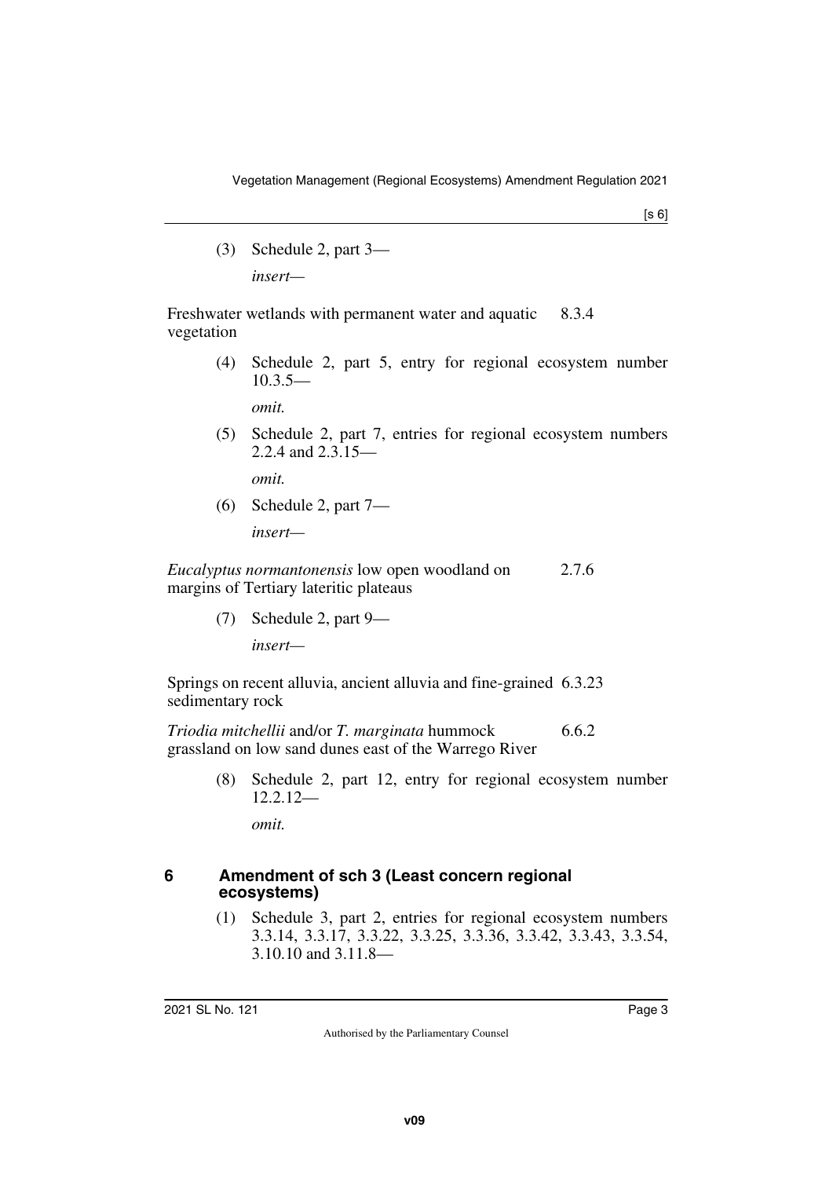$[s 6]$ 

(3) Schedule 2, part 3 *insert—*

Freshwater wetlands with permanent water and aquatic vegetation 8.3.4

> (4) Schedule 2, part 5, entry for regional ecosystem number  $10.3.5-$

*omit.*

(5) Schedule 2, part 7, entries for regional ecosystem numbers 2.2.4 and 2.3.15—

*omit.*

(6) Schedule 2, part 7 *insert—*

*Eucalyptus normantonensis* low open woodland on margins of Tertiary lateritic plateaus 2.7.6

(7) Schedule 2, part 9—

*insert—*

Springs on recent alluvia, ancient alluvia and fine-grained 6.3.23 sedimentary rock

*Triodia mitchellii* and/or *T. marginata* hummock grassland on low sand dunes east of the Warrego River 6.6.2

> (8) Schedule 2, part 12, entry for regional ecosystem number 12.2.12—

<span id="page-2-1"></span>*omit.*

#### <span id="page-2-0"></span>**6 Amendment of sch 3 (Least concern regional ecosystems)**

(1) Schedule 3, part 2, entries for regional ecosystem numbers 3.3.14, 3.3.17, 3.3.22, 3.3.25, 3.3.36, 3.3.42, 3.3.43, 3.3.54, 3.10.10 and 3.11.8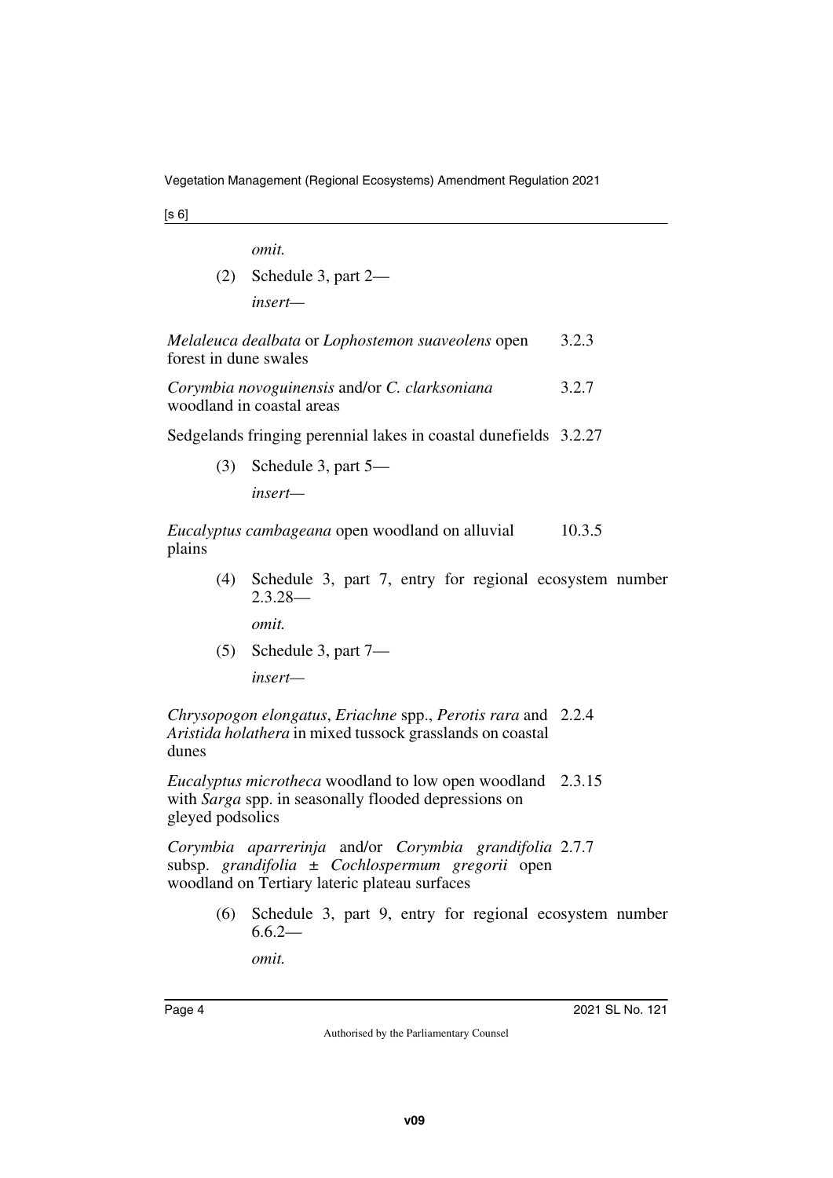[s 6]

*omit.*

(2) Schedule 3, part 2 *insert—*

| Melaleuca dealbata or Lophostemon suaveolens open | 3.2.3 |
|---------------------------------------------------|-------|
| forest in dune swales                             |       |

*Corymbia novoguinensis* and/or *C. clarksoniana* woodland in coastal areas 3.2.7

Sedgelands fringing perennial lakes in coastal dunefields 3.2.27

(3) Schedule 3, part 5—

*insert—*

*Eucalyptus cambageana* open woodland on alluvial plains 10.3.5

> (4) Schedule 3, part 7, entry for regional ecosystem number 2.3.28—

*omit.*

(5) Schedule 3, part 7—

*insert—*

*Chrysopogon elongatus*, *Eriachne* spp., *Perotis rara* and 2.2.4 *Aristida holathera* in mixed tussock grasslands on coastal dunes

*Eucalyptus microtheca* woodland to low open woodland 2.3.15 with *Sarga* spp. in seasonally flooded depressions on gleyed podsolics

*Corymbia aparrerinja* and/or *Corymbia grandifolia* 2.7.7subsp. *grandifolia* ± *Cochlospermum gregorii* open woodland on Tertiary lateric plateau surfaces

> (6) Schedule 3, part 9, entry for regional ecosystem number  $6.6.2-$

*omit.*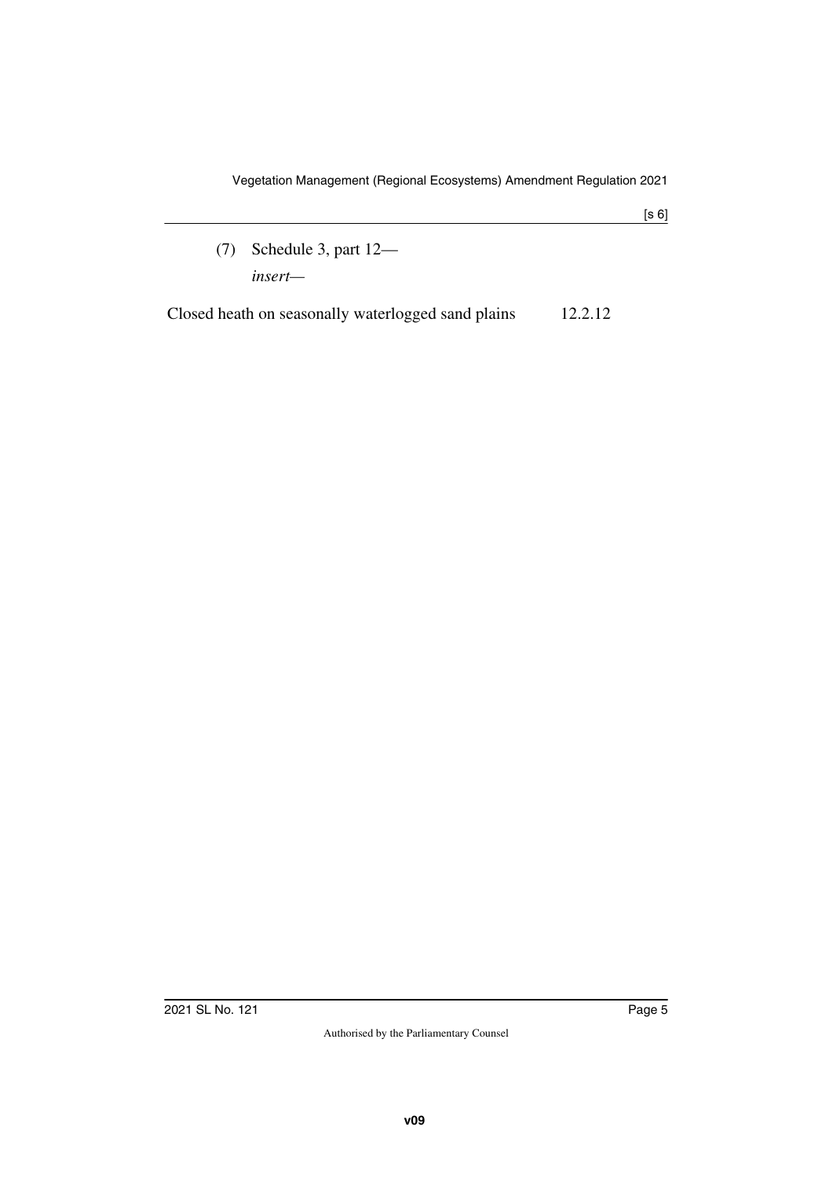(7) Schedule 3, part 12 *insert—*

Closed heath on seasonally waterlogged sand plains 12.2.12